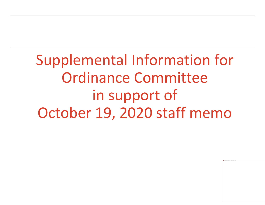Supplemental Information for Ordinance Committee in support of October 19, 2020 staff memo

The image part with relationship ID rId2 was not found in the file.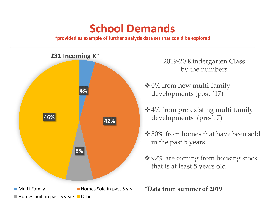#### **School Demands**

**\*provided as example of further analysis data set that could be explored**

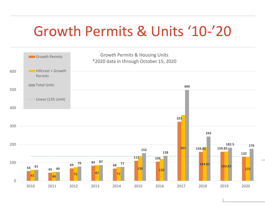## Growth Permits & Units '10-'20

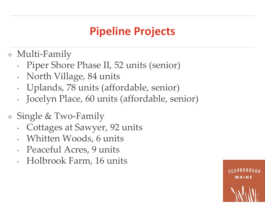### **Pipeline Projects**

- Multi-Family
	- Piper Shore Phase II, 52 units (senior)
	- North Village, 84 units
	- Uplands, 78 units (affordable, senior)
	- Jocelyn Place, 60 units (affordable, senior)
- **★ Single & Two-Family** 
	- Cottages at Sawyer, 92 units
	- Whitten Woods, 6 units
	- Peaceful Acres, 9 units
	- Holbrook Farm, 16 units

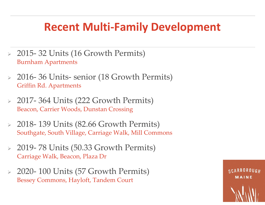#### **Recent Multi-Family Development**

- 2015- 32 Units (16 Growth Permits) Burnham Apartments
- 2016- 36 Units- senior (18 Growth Permits) Griffin Rd. Apartments
- $\geq$  2017-364 Units (222 Growth Permits) Beacon, Carrier Woods, Dunstan Crossing
- $\geq 2018$  139 Units (82.66 Growth Permits) Southgate, South Village, Carriage Walk, Mill Commons
- $\geq$  2019- 78 Units (50.33 Growth Permits) Carriage Walk, Beacon, Plaza Dr
- $\geq$  2020- 100 Units (57 Growth Permits) Bessey Commons, Hayloft, Tandem Court

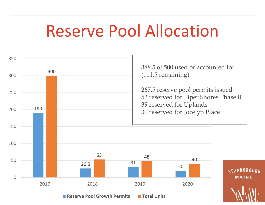# Reserve Pool Allocation



**Reserve Pool Growth Permits Fundal Units**